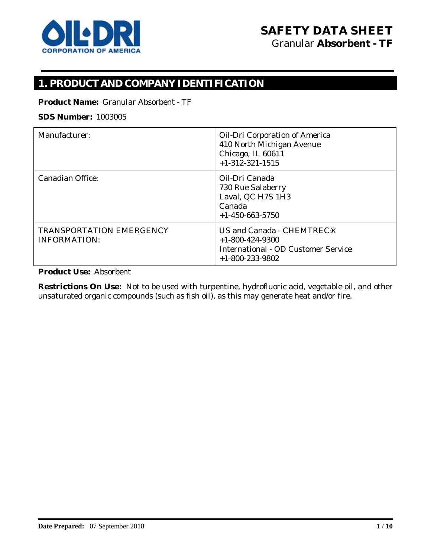

# **1. PRODUCT AND COMPANY IDENTIFICATION**

**Product Name:** Granular Absorbent - TF

### **SDS Number:** 1003005

| Manufacturer:                   | <b>Oil-Dri Corporation of America</b>      |
|---------------------------------|--------------------------------------------|
|                                 | 410 North Michigan Avenue                  |
|                                 | Chicago, IL 60611                          |
|                                 | $+1-312-321-1515$                          |
|                                 |                                            |
| <b>Canadian Office:</b>         | Oil-Dri Canada                             |
|                                 | 730 Rue Salaberry                          |
|                                 | Laval, QC H7S 1H3                          |
|                                 | Canada                                     |
|                                 |                                            |
|                                 | $+1-450-663-5750$                          |
| <b>TRANSPORTATION EMERGENCY</b> | US and Canada - CHEMTREC <sup>®</sup>      |
| <b>INFORMATION:</b>             | $+1-800-424-9300$                          |
|                                 | <b>International - OD Customer Service</b> |
|                                 |                                            |
|                                 | $+1-800-233-9802$                          |

**Product Use:** Absorbent

**Restrictions On Use:** Not to be used with turpentine, hydrofluoric acid, vegetable oil, and other unsaturated organic compounds (such as fish oil), as this may generate heat and/or fire.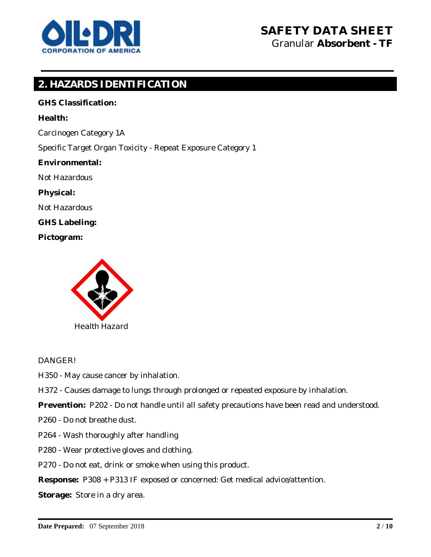

# **2. HAZARDS IDENTIFICATION**

**GHS Classification: Health:**  Carcinogen Category 1A Specific Target Organ Toxicity - Repeat Exposure Category 1 **Environmental:**  Not Hazardous **Physical:**  Not Hazardous **GHS Labeling: Pictogram:**



#### DANGER!

H350 - May cause cancer by inhalation.

H372 - Causes damage to lungs through prolonged or repeated exposure by inhalation.

**Prevention:** P202 - Do not handle until all safety precautions have been read and understood.

P260 - Do not breathe dust.

- P264 Wash thoroughly after handling
- P280 Wear protective gloves and clothing.

P270 - Do not eat, drink or smoke when using this product.

**Response:** P308 + P313 IF exposed or concerned: Get medical advice/attention.

**Storage:** Store in a dry area.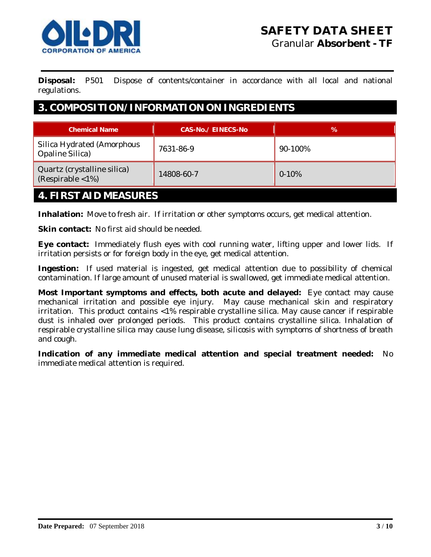

**Disposal:** P501 Dispose of contents/container in accordance with all local and national regulations.

## **3. COMPOSITION/INFORMATION ON INGREDIENTS**

| <b>Chemical Name</b>                                             | CAS-No./ EINECS-No | ℅         |
|------------------------------------------------------------------|--------------------|-----------|
| <b>Silica Hydrated (Amorphous</b><br><b>Opaline Silica</b> )     | 7631-86-9          | 90-100%   |
| Quartz (crystalline silica)<br>(Respirable $\langle 1\% \rangle$ | 14808-60-7         | $0 - 10%$ |
| <b>FIDCT AID MEACHDEC</b><br>$\overline{a}$                      |                    |           |

## **4. FIRST AID MEASURES**

**Inhalation:** Move to fresh air. If irritation or other symptoms occurs, get medical attention.

**Skin contact:** No first aid should be needed.

**Eye contact:** Immediately flush eyes with cool running water, lifting upper and lower lids. If irritation persists or for foreign body in the eye, get medical attention.

**Ingestion:** If used material is ingested, get medical attention due to possibility of chemical contamination. If large amount of unused material is swallowed, get immediate medical attention.

**Most Important symptoms and effects, both acute and delayed:** Eye contact may cause mechanical irritation and possible eye injury. May cause mechanical skin and respiratory irritation. This product contains <1% respirable crystalline silica. May cause cancer if respirable dust is inhaled over prolonged periods. This product contains crystalline silica. Inhalation of respirable crystalline silica may cause lung disease, silicosis with symptoms of shortness of breath and cough.

**Indication of any immediate medical attention and special treatment needed:** No immediate medical attention is required.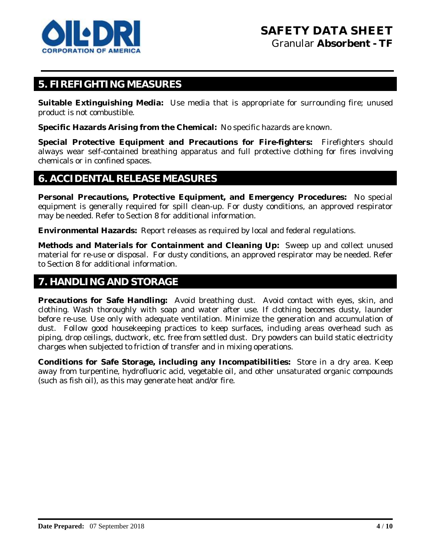

## **5. FIREFIGHTING MEASURES**

**Suitable Extinguishing Media:** Use media that is appropriate for surrounding fire; unused product is not combustible.

**Specific Hazards Arising from the Chemical:** No specific hazards are known.

**Special Protective Equipment and Precautions for Fire-fighters:** Firefighters should always wear self-contained breathing apparatus and full protective clothing for fires involving chemicals or in confined spaces.

### **6. ACCIDENTAL RELEASE MEASURES**

**Personal Precautions, Protective Equipment, and Emergency Procedures:** No special equipment is generally required for spill clean-up. For dusty conditions, an approved respirator may be needed. Refer to Section 8 for additional information.

**Environmental Hazards:** Report releases as required by local and federal regulations.

**Methods and Materials for Containment and Cleaning Up:** Sweep up and collect unused material for re-use or disposal. For dusty conditions, an approved respirator may be needed. Refer to Section 8 for additional information.

## **7. HANDLING AND STORAGE**

**Precautions for Safe Handling:** Avoid breathing dust. Avoid contact with eyes, skin, and clothing. Wash thoroughly with soap and water after use. If clothing becomes dusty, launder before re-use. Use only with adequate ventilation. Minimize the generation and accumulation of dust. Follow good housekeeping practices to keep surfaces, including areas overhead such as piping, drop ceilings, ductwork, etc. free from settled dust. Dry powders can build static electricity charges when subjected to friction of transfer and in mixing operations.

**Conditions for Safe Storage, including any Incompatibilities:** Store in a dry area. Keep away from turpentine, hydrofluoric acid, vegetable oil, and other unsaturated organic compounds (such as fish oil), as this may generate heat and/or fire.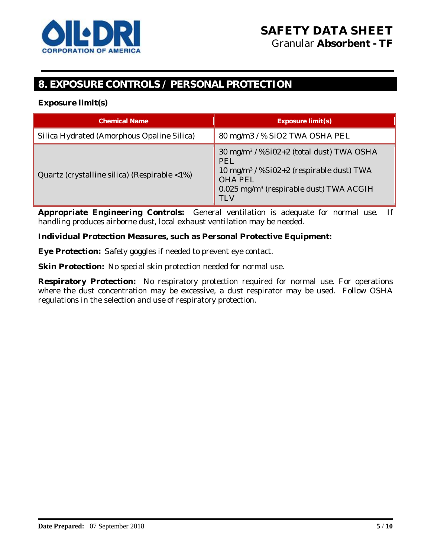

# **8. EXPOSURE CONTROLS / PERSONAL PROTECTION**

#### **Exposure limit(s)**

| <b>Chemical Name</b>                                          | Exposure limit(s)                                                                                                                                                                                                 |
|---------------------------------------------------------------|-------------------------------------------------------------------------------------------------------------------------------------------------------------------------------------------------------------------|
| Silica Hydrated (Amorphous Opaline Silica)                    | 80 mg/m3 / % SiO2 TWA OSHA PEL                                                                                                                                                                                    |
| Quartz (crystalline silica) (Respirable $\langle 1\% \rangle$ | 30 mg/m <sup>3</sup> / %Si02+2 (total dust) TWA OSHA<br><b>PEL</b><br>10 mg/m <sup>3</sup> / %Si02+2 (respirable dust) TWA<br><b>OHA PEL</b><br>0.025 mg/m <sup>3</sup> (respirable dust) TWA ACGIH<br><b>TLV</b> |

**Appropriate Engineering Controls:** General ventilation is adequate for normal use. If handling produces airborne dust, local exhaust ventilation may be needed.

#### **Individual Protection Measures, such as Personal Protective Equipment:**

**Eye Protection:** Safety goggles if needed to prevent eye contact.

**Skin Protection:** No special skin protection needed for normal use.

**Respiratory Protection:** No respiratory protection required for normal use. For operations where the dust concentration may be excessive, a dust respirator may be used. Follow OSHA regulations in the selection and use of respiratory protection.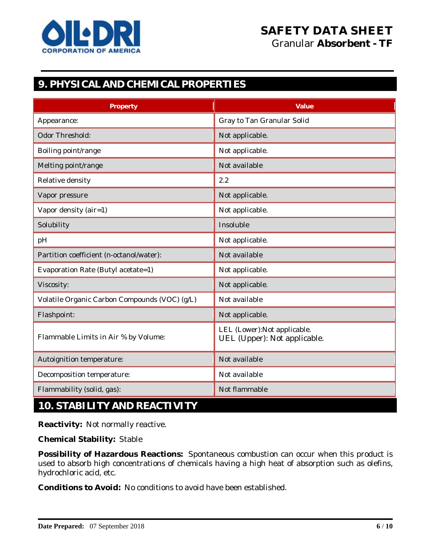

# **9. PHYSICAL AND CHEMICAL PROPERTIES**

| Property                                      | Value                                                        |  |
|-----------------------------------------------|--------------------------------------------------------------|--|
| Appearance:                                   | <b>Gray to Tan Granular Solid</b>                            |  |
| <b>Odor Threshold:</b>                        | Not applicable.                                              |  |
| Boiling point/range                           | Not applicable.                                              |  |
| Melting point/range                           | Not available                                                |  |
| <b>Relative density</b>                       | 2.2                                                          |  |
| Vapor pressure                                | Not applicable.                                              |  |
| Vapor density (air=1)                         | Not applicable.                                              |  |
| Solubility                                    | Insoluble                                                    |  |
| pH                                            | Not applicable.                                              |  |
| Partition coefficient (n-octanol/water):      | Not available                                                |  |
| <b>Evaporation Rate (Butyl acetate=1)</b>     | Not applicable.                                              |  |
| Viscosity:                                    | Not applicable.                                              |  |
| Volatile Organic Carbon Compounds (VOC) (g/L) | Not available                                                |  |
| <b>Flashpoint:</b>                            | Not applicable.                                              |  |
| Flammable Limits in Air % by Volume:          | LEL (Lower): Not applicable.<br>UEL (Upper): Not applicable. |  |
| <b>Autoignition temperature:</b>              | Not available                                                |  |
| <b>Decomposition temperature:</b>             | Not available                                                |  |
| Flammability (solid, gas):                    | Not flammable                                                |  |

# **10. STABILITY AND REACTIVITY**

**Reactivity:** Not normally reactive.

**Chemical Stability:** Stable

**Possibility of Hazardous Reactions:** Spontaneous combustion can occur when this product is used to absorb high concentrations of chemicals having a high heat of absorption such as olefins, hydrochloric acid, etc.

**Conditions to Avoid:** No conditions to avoid have been established.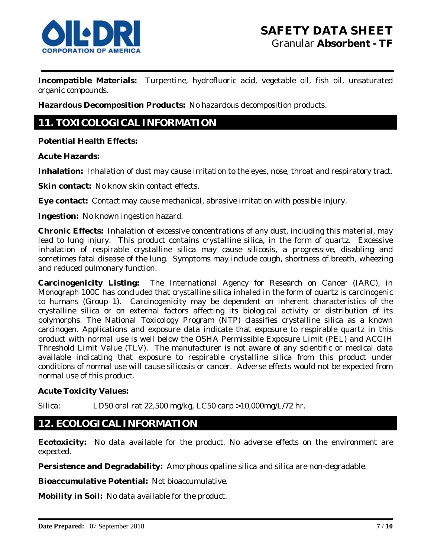

**Incompatible Materials:** Turpentine, hydrofluoric acid, vegetable oil, fish oil, unsaturated organic compounds.

**Hazardous Decomposition Products:** No hazardous decomposition products.

# **11. TOXICOLOGICAL INFORMATION**

**Potential Health Effects:**

**Acute Hazards:**

**Inhalation:** Inhalation of dust may cause irritation to the eyes, nose, throat and respiratory tract.

**Skin contact:** No know skin contact effects.

**Eye contact:** Contact may cause mechanical, abrasive irritation with possible injury.

**Ingestion:** No known ingestion hazard.

**Chronic Effects:** Inhalation of excessive concentrations of any dust, including this material, may lead to lung injury. This product contains crystalline silica, in the form of quartz. Excessive inhalation of respirable crystalline silica may cause silicosis, a progressive, disabling and sometimes fatal disease of the lung. Symptoms may include cough, shortness of breath, wheezing and reduced pulmonary function.

**Carcinogenicity Listing:** The International Agency for Research on Cancer (IARC), in Monograph 100C has concluded that crystalline silica inhaled in the form of quartz is carcinogenic to humans (Group 1). Carcinogenicity may be dependent on inherent characteristics of the crystalline silica or on external factors affecting its biological activity or distribution of its polymorphs. The National Toxicology Program (NTP) classifies crystalline silica as a known carcinogen. Applications and exposure data indicate that exposure to respirable quartz in this product with normal use is well below the OSHA Permissible Exposure Limit (PEL) and ACGIH Threshold Limit Value (TLV). The manufacturer is not aware of any scientific or medical data available indicating that exposure to respirable crystalline silica from this product under conditions of normal use will cause silicosis or cancer. Adverse effects would not be expected from normal use of this product.

**Acute Toxicity Values:** 

Silica: LD50 oral rat 22,500 mg/kg, LC50 carp >10,000mg/L/72 hr.

### **12. ECOLOGICAL INFORMATION**

**Ecotoxicity:** No data available for the product. No adverse effects on the environment are expected.

**Persistence and Degradability:** Amorphous opaline silica and silica are non-degradable.

**Bioaccumulative Potential:** Not bioaccumulative.

**Mobility in Soil:** No data available for the product.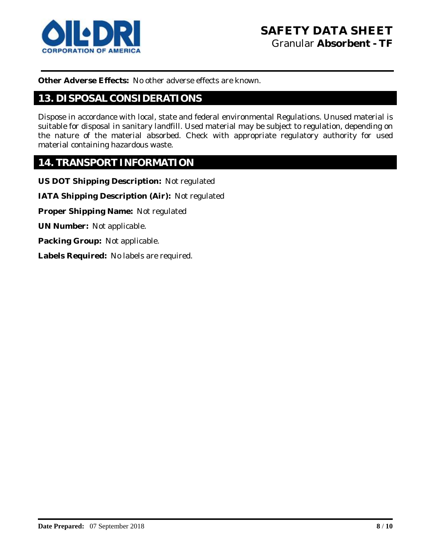

**Other Adverse Effects:** No other adverse effects are known.

## **13. DISPOSAL CONSIDERATIONS**

Dispose in accordance with local, state and federal environmental Regulations. Unused material is suitable for disposal in sanitary landfill. Used material may be subject to regulation, depending on the nature of the material absorbed. Check with appropriate regulatory authority for used material containing hazardous waste.

### **14. TRANSPORT INFORMATION**

**US DOT Shipping Description:** Not regulated

**IATA Shipping Description (Air):** Not regulated

**Proper Shipping Name:** Not regulated

**UN Number:** Not applicable.

**Packing Group:** Not applicable.

**Labels Required:** No labels are required.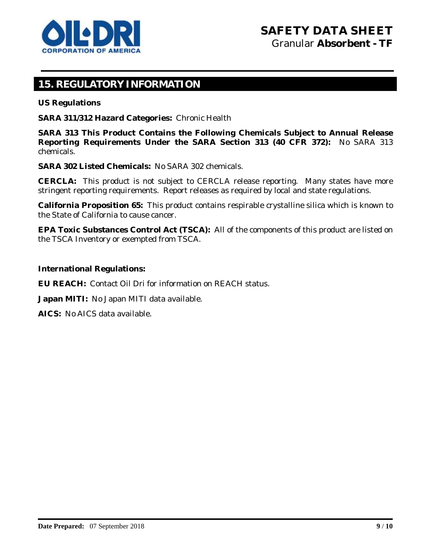

# **15. REGULATORY INFORMATION**

**US Regulations**

**SARA 311/312 Hazard Categories:** Chronic Health

**SARA 313 This Product Contains the Following Chemicals Subject to Annual Release Reporting Requirements Under the SARA Section 313 (40 CFR 372):** No SARA 313 chemicals.

**SARA 302 Listed Chemicals:** No SARA 302 chemicals.

**CERCLA:** This product is not subject to CERCLA release reporting. Many states have more stringent reporting requirements. Report releases as required by local and state regulations.

**California Proposition 65:** This product contains respirable crystalline silica which is known to the State of California to cause cancer.

**EPA Toxic Substances Control Act (TSCA):** All of the components of this product are listed on the TSCA Inventory or exempted from TSCA.

**International Regulations:**

**EU REACH:** Contact Oil Dri for information on REACH status.

**Japan MITI:** No Japan MITI data available.

**AICS:** No AICS data available.